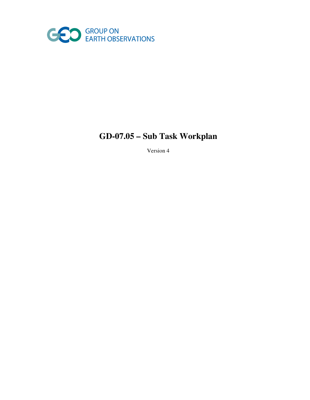

# **GD-07.05 – Sub Task Workplan**

Version 4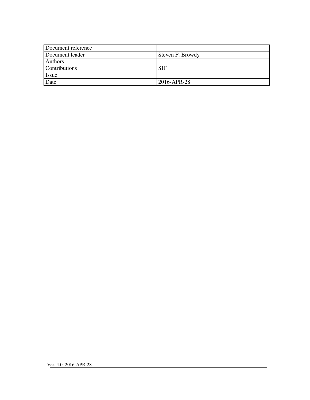| Document reference   |                  |
|----------------------|------------------|
| Document leader      | Steven F. Browdy |
| Authors              |                  |
| <b>Contributions</b> | <b>SIF</b>       |
| <b>Issue</b>         |                  |
| Date                 | 2016-APR-28      |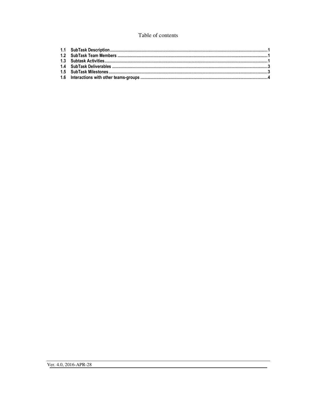#### Table of contents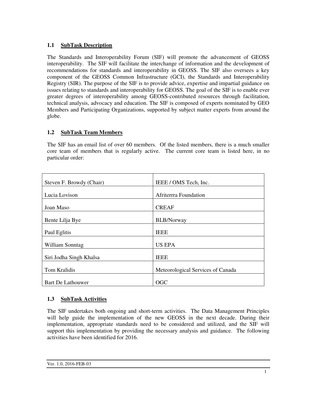## **1.1 SubTask Description**

The Standards and Interoperability Forum (SIF) will promote the advancement of GEOSS interoperability. The SIF will facilitate the interchange of information and the development of recommendations for standards and interoperability in GEOSS. The SIF also oversees a key component of the GEOSS Common Infrastructure (GCI), the Standards and Interoperability Registry (SIR). The purpose of the SIF is to provide advice, expertise and impartial guidance on issues relating to standards and interoperability for GEOSS. The goal of the SIF is to enable ever greater degrees of interoperability among GEOSS-contributed resources through facilitation, technical analysis, advocacy and education. The SIF is composed of experts nominated by GEO Members and Participating Organizations, supported by subject matter experts from around the globe.

# **1.2 SubTask Team Members**

The SIF has an email list of over 60 members. Of the listed members, there is a much smaller core team of members that is regularly active. The current core team is listed here, in no particular order:

| Steven F. Browdy (Chair) | IEEE / OMS Tech, Inc.             |  |
|--------------------------|-----------------------------------|--|
| Lucia Lovison            | Afriterra Foundation              |  |
| Joan Maso                | <b>CREAF</b>                      |  |
| Bente Lilja Bye          | <b>BLB/Norway</b>                 |  |
| Paul Eglitis             | <b>IEEE</b>                       |  |
| William Sonntag          | <b>US EPA</b>                     |  |
| Siri Jodha Singh Khalsa  | <b>IEEE</b>                       |  |
| Tom Kralidis             | Meteorological Services of Canada |  |
| <b>Bart De Lathouwer</b> | <b>OGC</b>                        |  |

# **1.3 SubTask Activities**

The SIF undertakes both ongoing and short-term activities. The Data Management Principles will help guide the implementation of the new GEOSS in the next decade. During their implementation, appropriate standards need to be considered and utilized, and the SIF will support this implementation by providing the necessary analysis and guidance. The following activities have been identified for 2016.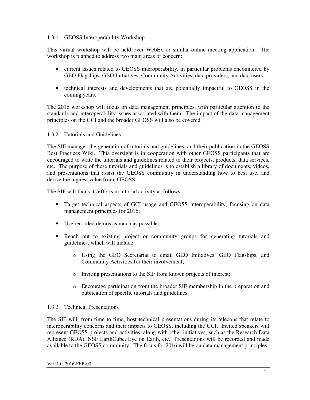## 1.3.1 GEOSS Interoperability Workshop

This virtual workshop will be held over WebEx or similar online meeting application. The workshop is planned to address two main areas of concern:

- current issues related to GEOSS interoperability, in particular problems encountered by GEO Flagships, GEO Initiatives, Community Activities, data providers, and data users;
- technical interests and developments that are potentially impactful to GEOSS in the coming years.

The 2016 workshop will focus on data management principles, with particular attention to the standards and interoperability issues associated with them. The impact of the data management principles on the GCI and the broader GEOSS will also be covered.

## 1.3.2 Tutorials and Guidelines

The SIF manages the generation of tutorials and guidelines, and their publication in the GEOSS Best Practices Wiki. This oversight is in cooperation with other GEOSS participants that are encouraged to write the tutorials and guidelines related to their projects, products, data services, etc. The purpose of these tutorials and guidelines is to establish a library of documents, videos, and presentations that assist the GEOSS community in understanding how to best use, and derive the highest value from, GEOSS.

The SIF will focus its efforts in tutorial activity as follows:

- Target technical aspects of GCI usage and GEOSS interoperability, focusing on data management principles for 2016;
- Use recorded demos as much as possible;
- Reach out to existing project or community groups for generating tutorials and guidelines, which will include:
	- o Using the GEO Secretariat to email GEO Initiatives, GEO Flagships, and Community Activities for their involvement;
	- o Inviting presentations to the SIF from known projects of interest;
	- o Encourage participation from the broader SIF membership in the preparation and publication of specific tutorials and guidelines.

#### 1.3.3 Technical Presentations

The SIF will, from time to time, host technical presentations during its telecons that relate to interoperability concerns and their impacts to GEOSS, including the GCI. Invited speakers will represent GEOSS projects and activities, along with other initiatives, such as the Research Data Alliance (RDA), NSF EarthCube, Eye on Earth, etc. Presentations will be recorded and made available to the GEOSS community. The focus for 2016 will be on data management principles.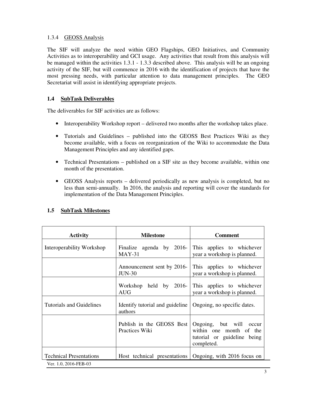### 1.3.4 GEOSS Analysis

The SIF will analyze the need within GEO Flagships, GEO Initiatives, and Community Activities as to interoperability and GCI usage. Any activities that result from this analysis will be managed within the activities 1.3.1 - 1.3.3 described above. This analysis will be an ongoing activity of the SIF, but will commence in 2016 with the identification of projects that have the most pressing needs, with particular attention to data management principles. The GEO Secretariat will assist in identifying appropriate projects.

### **1.4 SubTask Deliverables**

The deliverables for SIF activities are as follows:

- Interoperability Workshop report delivered two months after the workshop takes place.
- Tutorials and Guidelines published into the GEOSS Best Practices Wiki as they become available, with a focus on reorganization of the Wiki to accommodate the Data Management Principles and any identified gaps.
- Technical Presentations published on a SIF site as they become available, within one month of the presentation.
- GEOSS Analysis reports delivered periodically as new analysis is completed, but no less than semi-annually. In 2016, the analysis and reporting will cover the standards for implementation of the Data Management Principles.

| <b>Activity</b>                | <b>Milestone</b>                                                         | <b>Comment</b>                                                                                  |
|--------------------------------|--------------------------------------------------------------------------|-------------------------------------------------------------------------------------------------|
| Interoperability Workshop      | Finalize agenda by 2016-<br>$MAY-31$                                     | This applies to whichever<br>year a workshop is planned.                                        |
|                                | Announcement sent by 2016-<br><b>JUN-30</b>                              | This applies to whichever<br>year a workshop is planned.                                        |
|                                | Workshop held by 2016-<br><b>AUG</b>                                     | This applies to whichever<br>year a workshop is planned.                                        |
| Tutorials and Guidelines       | Identify tutorial and guideline   Ongoing, no specific dates.<br>authors |                                                                                                 |
|                                | Publish in the GEOSS Best<br>Practices Wiki                              | Ongoing, but will occur<br>within one month of the<br>tutorial or guideline being<br>completed. |
| <b>Technical Presentations</b> |                                                                          | Host technical presentations   Ongoing, with 2016 focus on                                      |
| Ver. 1.0, 2016-FEB-03          |                                                                          |                                                                                                 |

# **1.5 SubTask Milestones**